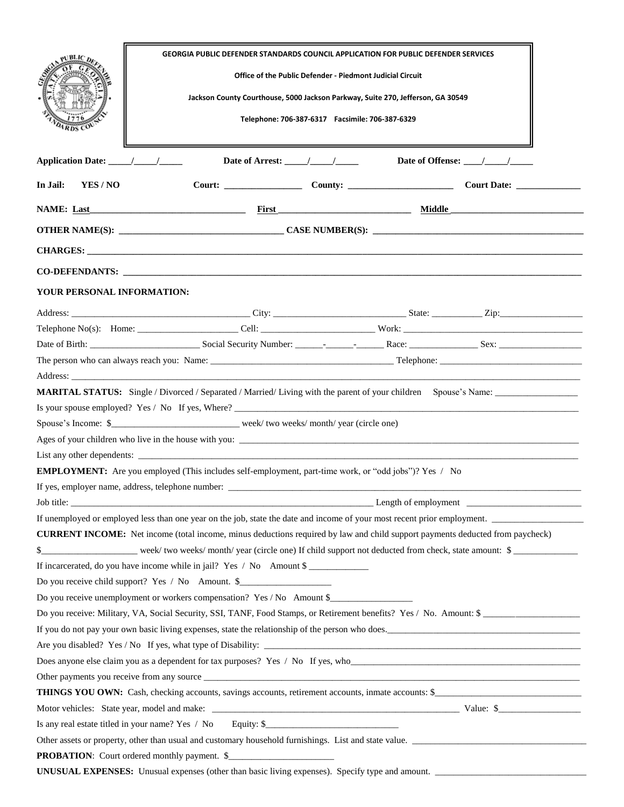|                                                                                                                          | <b>GEORGIA PUBLIC DEFENDER STANDARDS COUNCIL APPLICATION FOR PUBLIC DEFENDER SERVICES</b><br>Office of the Public Defender - Piedmont Judicial Circuit<br>Jackson County Courthouse, 5000 Jackson Parkway, Suite 270, Jefferson, GA 30549<br>Telephone: 706-387-6317    Facsimile: 706-387-6329 |                                                  |  |                                                                                                                        |  |  |
|--------------------------------------------------------------------------------------------------------------------------|-------------------------------------------------------------------------------------------------------------------------------------------------------------------------------------------------------------------------------------------------------------------------------------------------|--------------------------------------------------|--|------------------------------------------------------------------------------------------------------------------------|--|--|
|                                                                                                                          |                                                                                                                                                                                                                                                                                                 | Date of Arrest: $\frac{1}{\sqrt{1-\frac{1}{2}}}$ |  | Date of Offense: $\frac{\sqrt{2}}{2}$                                                                                  |  |  |
| In Jail:<br>YES / NO                                                                                                     |                                                                                                                                                                                                                                                                                                 |                                                  |  |                                                                                                                        |  |  |
|                                                                                                                          |                                                                                                                                                                                                                                                                                                 |                                                  |  |                                                                                                                        |  |  |
|                                                                                                                          |                                                                                                                                                                                                                                                                                                 |                                                  |  |                                                                                                                        |  |  |
|                                                                                                                          |                                                                                                                                                                                                                                                                                                 |                                                  |  |                                                                                                                        |  |  |
|                                                                                                                          | CO-DEFENDANTS: New York CONSTRUCTION CONTROL CONSTRUCTION OF THE CONSTRUCTION OF THE CONSTRUCTION OF THE CONSTRUCTION OF THE CONSTRUCTION OF THE CONSTRUCTION OF THE CONSTRUCTION OF THE CONSTRUCTION OF THE CONSTRUCTION OF T                                                                  |                                                  |  |                                                                                                                        |  |  |
| YOUR PERSONAL INFORMATION:                                                                                               |                                                                                                                                                                                                                                                                                                 |                                                  |  |                                                                                                                        |  |  |
|                                                                                                                          |                                                                                                                                                                                                                                                                                                 |                                                  |  |                                                                                                                        |  |  |
|                                                                                                                          |                                                                                                                                                                                                                                                                                                 |                                                  |  |                                                                                                                        |  |  |
|                                                                                                                          |                                                                                                                                                                                                                                                                                                 |                                                  |  |                                                                                                                        |  |  |
|                                                                                                                          |                                                                                                                                                                                                                                                                                                 |                                                  |  |                                                                                                                        |  |  |
|                                                                                                                          | Address: Note and the second contract of the second contract of the second contract of the second contract of the second contract of the second contract of the second contract of the second contract of the second contract                                                                   |                                                  |  |                                                                                                                        |  |  |
|                                                                                                                          |                                                                                                                                                                                                                                                                                                 |                                                  |  | <b>MARITAL STATUS:</b> Single / Divorced / Separated / Married/ Living with the parent of your children Spouse's Name: |  |  |
|                                                                                                                          |                                                                                                                                                                                                                                                                                                 |                                                  |  |                                                                                                                        |  |  |
| Spouse's Income: \$__________________________week/two weeks/month/year (circle one)                                      |                                                                                                                                                                                                                                                                                                 |                                                  |  |                                                                                                                        |  |  |
|                                                                                                                          |                                                                                                                                                                                                                                                                                                 |                                                  |  |                                                                                                                        |  |  |
|                                                                                                                          |                                                                                                                                                                                                                                                                                                 |                                                  |  |                                                                                                                        |  |  |
| <b>EMPLOYMENT:</b> Are you employed (This includes self-employment, part-time work, or "odd jobs")? Yes / No             |                                                                                                                                                                                                                                                                                                 |                                                  |  |                                                                                                                        |  |  |
|                                                                                                                          |                                                                                                                                                                                                                                                                                                 |                                                  |  |                                                                                                                        |  |  |
| $L$ Length of employment $\Box$                                                                                          |                                                                                                                                                                                                                                                                                                 |                                                  |  |                                                                                                                        |  |  |
| If unemployed or employed less than one year on the job, state the date and income of your most recent prior employment. |                                                                                                                                                                                                                                                                                                 |                                                  |  |                                                                                                                        |  |  |
|                                                                                                                          | <b>CURRENT INCOME:</b> Net income (total income, minus deductions required by law and child support payments deducted from paycheck)                                                                                                                                                            |                                                  |  |                                                                                                                        |  |  |
| week/two weeks/month/year (circle one) If child support not deducted from check, state amount: \$                        |                                                                                                                                                                                                                                                                                                 |                                                  |  |                                                                                                                        |  |  |
| If incarcerated, do you have income while in jail? Yes / No Amount \$                                                    |                                                                                                                                                                                                                                                                                                 |                                                  |  |                                                                                                                        |  |  |
| Do you receive child support? Yes / No Amount. \$                                                                        |                                                                                                                                                                                                                                                                                                 |                                                  |  |                                                                                                                        |  |  |
| Do you receive unemployment or workers compensation? Yes / No Amount \$                                                  |                                                                                                                                                                                                                                                                                                 |                                                  |  |                                                                                                                        |  |  |
| Do you receive: Military, VA, Social Security, SSI, TANF, Food Stamps, or Retirement benefits? Yes / No. Amount: \$      |                                                                                                                                                                                                                                                                                                 |                                                  |  |                                                                                                                        |  |  |
| If you do not pay your own basic living expenses, state the relationship of the person who does.                         |                                                                                                                                                                                                                                                                                                 |                                                  |  |                                                                                                                        |  |  |
|                                                                                                                          |                                                                                                                                                                                                                                                                                                 |                                                  |  |                                                                                                                        |  |  |
| Does anyone else claim you as a dependent for tax purposes? Yes / No If yes, who                                         |                                                                                                                                                                                                                                                                                                 |                                                  |  |                                                                                                                        |  |  |
|                                                                                                                          |                                                                                                                                                                                                                                                                                                 |                                                  |  |                                                                                                                        |  |  |
| THINGS YOU OWN: Cash, checking accounts, savings accounts, retirement accounts, inmate accounts: \$                      |                                                                                                                                                                                                                                                                                                 |                                                  |  |                                                                                                                        |  |  |
|                                                                                                                          |                                                                                                                                                                                                                                                                                                 |                                                  |  |                                                                                                                        |  |  |
| Is any real estate titled in your name? Yes / No Equity: \$                                                              |                                                                                                                                                                                                                                                                                                 |                                                  |  |                                                                                                                        |  |  |
| Other assets or property, other than usual and customary household furnishings. List and state value.                    |                                                                                                                                                                                                                                                                                                 |                                                  |  |                                                                                                                        |  |  |
|                                                                                                                          | <b>PROBATION:</b> Court ordered monthly payment. \$                                                                                                                                                                                                                                             |                                                  |  |                                                                                                                        |  |  |
| UNUSUAL EXPENSES: Unusual expenses (other than basic living expenses). Specify type and amount.                          |                                                                                                                                                                                                                                                                                                 |                                                  |  |                                                                                                                        |  |  |